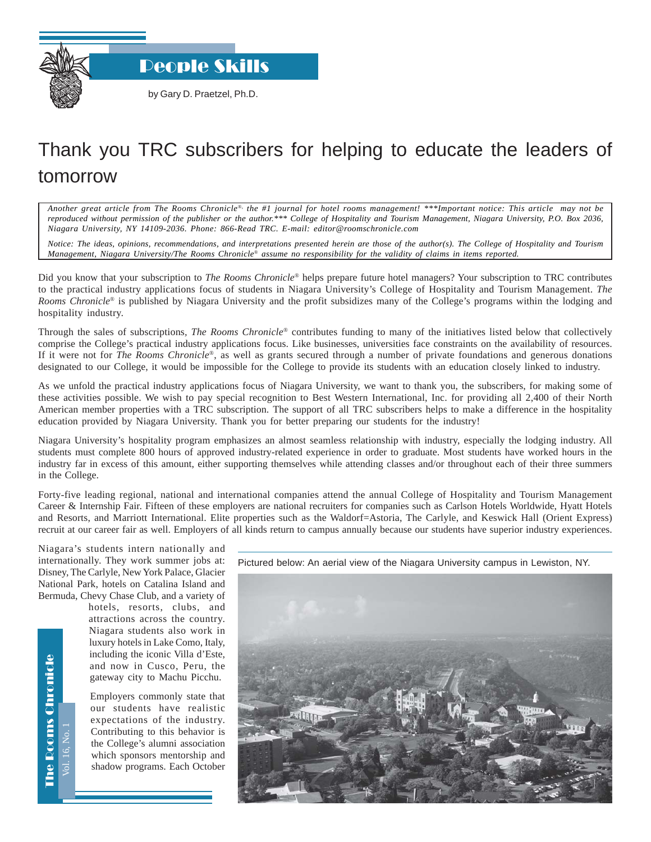

by Gary D. Praetzel, Ph.D.

## Thank you TRC subscribers for helping to educate the leaders of tomorrow

*Another great article from The Rooms Chronicle*®*, the #1 journal for hotel rooms management! \*\*\*Important notice: This article may not be reproduced without permission of the publisher or the author.\*\*\* College of Hospitality and Tourism Management, Niagara University, P.O. Box 2036, Niagara University, NY 14109-2036. Phone: 866-Read TRC. E-mail: editor@roomschronicle.com*

*Notice: The ideas, opinions, recommendations, and interpretations presented herein are those of the author(s). The College of Hospitality and Tourism Management, Niagara University/The Rooms Chronicle*® *assume no responsibility for the validity of claims in items reported.*

Did you know that your subscription to *The Rooms Chronicle*® helps prepare future hotel managers? Your subscription to TRC contributes to the practical industry applications focus of students in Niagara University's College of Hospitality and Tourism Management. *The Rooms Chronicle*® is published by Niagara University and the profit subsidizes many of the College's programs within the lodging and hospitality industry.

Through the sales of subscriptions*, The Rooms Chronicle*® contributes funding to many of the initiatives listed below that collectively comprise the College's practical industry applications focus. Like businesses, universities face constraints on the availability of resources. If it were not for *The Rooms Chronicle*®, as well as grants secured through a number of private foundations and generous donations designated to our College, it would be impossible for the College to provide its students with an education closely linked to industry.

As we unfold the practical industry applications focus of Niagara University, we want to thank you, the subscribers, for making some of these activities possible. We wish to pay special recognition to Best Western International, Inc. for providing all 2,400 of their North American member properties with a TRC subscription. The support of all TRC subscribers helps to make a difference in the hospitality education provided by Niagara University. Thank you for better preparing our students for the industry!

Niagara University's hospitality program emphasizes an almost seamless relationship with industry, especially the lodging industry. All students must complete 800 hours of approved industry-related experience in order to graduate. Most students have worked hours in the industry far in excess of this amount, either supporting themselves while attending classes and/or throughout each of their three summers in the College.

Forty-five leading regional, national and international companies attend the annual College of Hospitality and Tourism Management Career & Internship Fair. Fifteen of these employers are national recruiters for companies such as Carlson Hotels Worldwide, Hyatt Hotels and Resorts, and Marriott International. Elite properties such as the Waldorf=Astoria, The Carlyle, and Keswick Hall (Orient Express) recruit at our career fair as well. Employers of all kinds return to campus annually because our students have superior industry experiences.

Niagara's students intern nationally and internationally. They work summer jobs at: Disney, The Carlyle, New York Palace, Glacier National Park, hotels on Catalina Island and Bermuda, Chevy Chase Club, and a variety of

> hotels, resorts, clubs, and attractions across the country. Niagara students also work in luxury hotels in Lake Como, Italy, including the iconic Villa d'Este, and now in Cusco, Peru, the gateway city to Machu Picchu.

Employers commonly state that our students have realistic expectations of the industry. Contributing to this behavior is the College's alumni association which sponsors mentorship and shadow programs. Each October

Pictured below: An aerial view of the Niagara University campus in Lewiston, NY.



**The Rooms Chronicle** The Rooms Chronicle ol. 16. No.

Vol. 16, No. 1